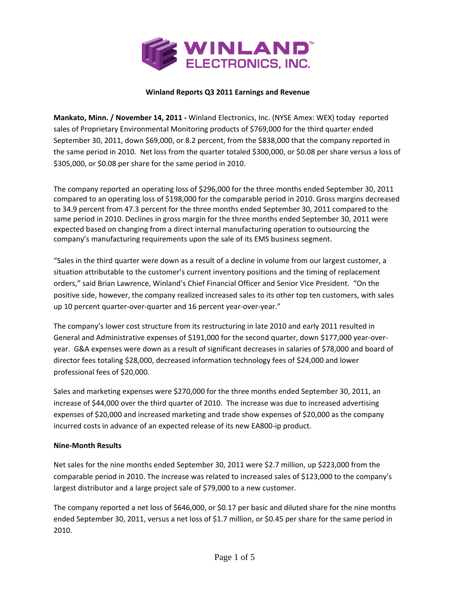

## **Winland Reports Q3 2011 Earnings and Revenue**

**Mankato, Minn. / November 14, 2011 ‐** Winland Electronics, Inc. (NYSE Amex: WEX) today reported sales of Proprietary Environmental Monitoring products of \$769,000 for the third quarter ended September 30, 2011, down \$69,000, or 8.2 percent, from the \$838,000 that the company reported in the same period in 2010. Net loss from the quarter totaled \$300,000, or \$0.08 per share versus a loss of \$305,000, or \$0.08 per share for the same period in 2010.

The company reported an operating loss of \$296,000 for the three months ended September 30, 2011 compared to an operating loss of \$198,000 for the comparable period in 2010. Gross margins decreased to 34.9 percent from 47.3 percent for the three months ended September 30, 2011 compared to the same period in 2010. Declines in gross margin for the three months ended September 30, 2011 were expected based on changing from a direct internal manufacturing operation to outsourcing the company's manufacturing requirements upon the sale of its EMS business segment.

"Sales in the third quarter were down as a result of a decline in volume from our largest customer, a situation attributable to the customer's current inventory positions and the timing of replacement orders," said Brian Lawrence, Winland's Chief Financial Officer and Senior Vice President. "On the positive side, however, the company realized increased sales to its other top ten customers, with sales up 10 percent quarter-over-quarter and 16 percent year-over-year."

The company's lower cost structure from its restructuring in late 2010 and early 2011 resulted in General and Administrative expenses of \$191,000 for the second quarter, down \$177,000 year‐over‐ year. G&A expenses were down as a result of significant decreases in salaries of \$78,000 and board of director fees totaling \$28,000, decreased information technology fees of \$24,000 and lower professional fees of \$20,000.

Sales and marketing expenses were \$270,000 for the three months ended September 30, 2011, an increase of \$44,000 over the third quarter of 2010. The increase was due to increased advertising expenses of \$20,000 and increased marketing and trade show expenses of \$20,000 as the company incurred costs in advance of an expected release of its new EA800‐ip product.

### **Nine‐Month Results**

Net sales for the nine months ended September 30, 2011 were \$2.7 million, up \$223,000 from the comparable period in 2010. The increase was related to increased sales of \$123,000 to the company's largest distributor and a large project sale of \$79,000 to a new customer.

The company reported a net loss of \$646,000, or \$0.17 per basic and diluted share for the nine months ended September 30, 2011, versus a net loss of \$1.7 million, or \$0.45 per share for the same period in 2010.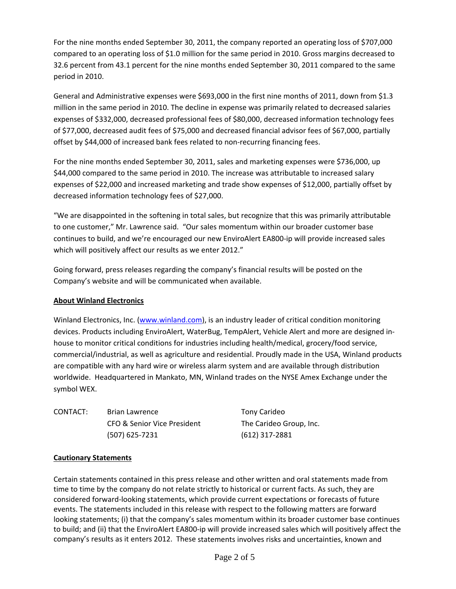For the nine months ended September 30, 2011, the company reported an operating loss of \$707,000 compared to an operating loss of \$1.0 million for the same period in 2010. Gross margins decreased to 32.6 percent from 43.1 percent for the nine months ended September 30, 2011 compared to the same period in 2010.

General and Administrative expenses were \$693,000 in the first nine months of 2011, down from \$1.3 million in the same period in 2010. The decline in expense was primarily related to decreased salaries expenses of \$332,000, decreased professional fees of \$80,000, decreased information technology fees of \$77,000, decreased audit fees of \$75,000 and decreased financial advisor fees of \$67,000, partially offset by \$44,000 of increased bank fees related to non‐recurring financing fees.

For the nine months ended September 30, 2011, sales and marketing expenses were \$736,000, up \$44,000 compared to the same period in 2010. The increase was attributable to increased salary expenses of \$22,000 and increased marketing and trade show expenses of \$12,000, partially offset by decreased information technology fees of \$27,000.

"We are disappointed in the softening in total sales, but recognize that this was primarily attributable to one customer," Mr. Lawrence said. "Our sales momentum within our broader customer base continues to build, and we're encouraged our new EnviroAlert EA800‐ip will provide increased sales which will positively affect our results as we enter 2012."

Going forward, press releases regarding the company's financial results will be posted on the Company's website and will be communicated when available.

## **About Winland Electronics**

Winland Electronics, Inc. (www.winland.com), is an industry leader of critical condition monitoring devices. Products including EnviroAlert, WaterBug, TempAlert, Vehicle Alert and more are designed in‐ house to monitor critical conditions for industries including health/medical, grocery/food service, commercial/industrial, as well as agriculture and residential. Proudly made in the USA, Winland products are compatible with any hard wire or wireless alarm system and are available through distribution worldwide. Headquartered in Mankato, MN, Winland trades on the NYSE Amex Exchange under the symbol WEX.

CONTACT: Brian Lawrence Tony Carideo CFO & Senior Vice President The Carideo Group, Inc. (507) 625‐7231 (612) 317‐2881

# **Cautionary Statements**

Certain statements contained in this press release and other written and oral statements made from time to time by the company do not relate strictly to historical or current facts. As such, they are considered forward‐looking statements, which provide current expectations or forecasts of future events. The statements included in this release with respect to the following matters are forward looking statements; (i) that the company's sales momentum within its broader customer base continues to build; and (ii) that the EnviroAlert EA800‐ip will provide increased sales which will positively affect the company's results as it enters 2012. These statements involves risks and uncertainties, known and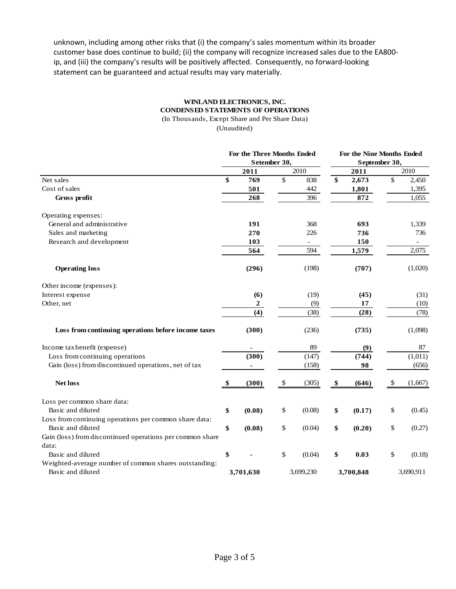unknown, including among other risks that (i) the company's sales momentum within its broader customer base does continue to build; (ii) the company will recognize increased sales due to the EA800‐ ip, and (iii) the company's results will be positively affected. Consequently, no forward‐looking statement can be guaranteed and actual results may vary materially.

## **WINLAND ELECTRONICS, INC. CONDENSED STATEMENTS OF OPERATIONS**

(In Thousands, Except Share and Per Share Data)

(Unaudited)

|                                                           | For the Three Months Ended |                  |                 |        | For the Nine Months Ended |        |               |                          |
|-----------------------------------------------------------|----------------------------|------------------|-----------------|--------|---------------------------|--------|---------------|--------------------------|
|                                                           | Setember 30,               |                  |                 |        |                           |        | September 30, |                          |
|                                                           |                            | 2011             |                 | 2010   |                           | 2011   |               | 2010                     |
| Net sales                                                 | \$                         | 769              | $\overline{\$}$ | 838    | \$                        | 2,673  | \$            | 2,450                    |
| Cost of sales                                             |                            | 501              |                 | 442    |                           | 1,801  |               | 1,395                    |
| Gross profit                                              |                            | 268              |                 | 396    |                           | 872    |               | 1,055                    |
| Operating expenses:                                       |                            |                  |                 |        |                           |        |               |                          |
| General and administrative                                |                            | 191              |                 | 368    |                           | 693    |               | 1,339                    |
| Sales and marketing                                       |                            | 270              |                 | 226    |                           | 736    |               | 736                      |
| Research and development                                  |                            | 103              |                 |        |                           | 150    |               | $\overline{\phantom{a}}$ |
|                                                           |                            | 564              |                 | 594    |                           | 1,579  |               | 2,075                    |
| <b>Operating loss</b>                                     |                            | (296)            |                 | (198)  |                           | (707)  |               | (1,020)                  |
| Other income (expenses):                                  |                            |                  |                 |        |                           |        |               |                          |
| Interest expense                                          |                            | (6)              |                 | (19)   |                           | (45)   |               | (31)                     |
| Other, net                                                |                            | $\boldsymbol{2}$ |                 | (9)    |                           | 17     |               | (10)                     |
|                                                           |                            | (4)              |                 | (38)   |                           | (28)   |               | (78)                     |
| Loss from continuing operations before income taxes       |                            | (300)            |                 | (236)  |                           | (735)  |               | (1,098)                  |
| Income tax benefit (expense)                              |                            |                  |                 | 89     |                           | (9)    |               | 87                       |
| Loss from continuing operations                           |                            | (300)            |                 | (147)  |                           | (744)  |               | (1,011)                  |
| Gain (loss) from discontinued operations, net of tax      |                            | $\blacksquare$   |                 | (158)  |                           | 98     |               | (656)                    |
| <b>Net loss</b>                                           | -\$                        | (300)            | \$.             | (305)  | \$                        | (646)  | \$            | (1,667)                  |
| Loss per common share data:                               |                            |                  |                 |        |                           |        |               |                          |
| Basic and diluted                                         | \$                         | (0.08)           | \$              | (0.08) | \$                        | (0.17) | \$            | (0.45)                   |
| Loss from continuing operations per common share data:    |                            |                  |                 |        |                           |        |               |                          |
| Basic and diluted                                         | \$                         | (0.08)           | \$              | (0.04) | \$                        | (0.20) | \$            | (0.27)                   |
| Gain (loss) from discontinued operations per common share |                            |                  |                 |        |                           |        |               |                          |
| data:                                                     |                            |                  |                 |        |                           |        |               |                          |
| Basic and diluted                                         | \$                         |                  | \$              | (0.04) | \$                        | 0.03   | \$            | (0.18)                   |
| Weighted-average number of common shares outstanding:     |                            |                  |                 |        |                           |        |               |                          |
| Basic and diluted                                         | 3,701,630                  |                  | 3,699,230       |        | 3,700,848                 |        | 3,690,911     |                          |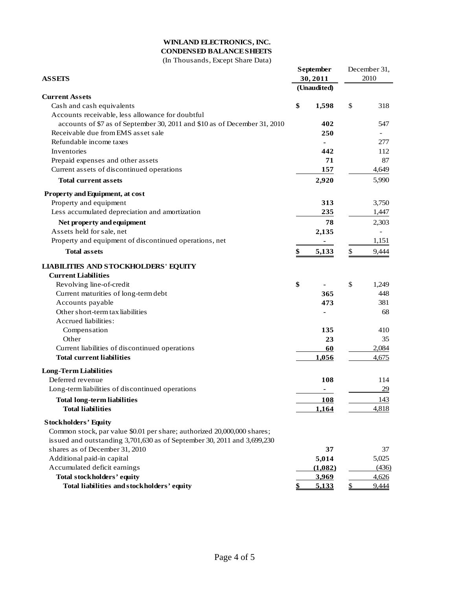## **WINLAND ELECTRONICS, INC.**

# **CONDENSED BALANCE SHEETS**

(In Thousands, Except Share Data)

|                                                                           |    | September   |              | December 31, |  |
|---------------------------------------------------------------------------|----|-------------|--------------|--------------|--|
| <b>ASSEIS</b>                                                             |    | 30,2011     | 2010         |              |  |
|                                                                           |    | (Unaudited) |              |              |  |
| <b>Current Assets</b>                                                     |    |             |              |              |  |
| Cash and cash equivalents                                                 | \$ | 1,598       | \$           | 318          |  |
| Accounts receivable, less allowance for doubtful                          |    |             |              |              |  |
| accounts of \$7 as of September 30, 2011 and \$10 as of December 31, 2010 |    | 402         |              | 547          |  |
| Receivable due from EMS asset sale                                        |    | 250         |              |              |  |
| Refundable income taxes                                                   |    |             |              | 277          |  |
| Inventories                                                               |    | 442         |              | 112          |  |
| Prepaid expenses and other assets                                         |    | 71          |              | 87           |  |
| Current assets of discontinued operations                                 |    | 157         |              | 4,649        |  |
| <b>Total current assets</b>                                               |    | 2,920       |              | 5,990        |  |
|                                                                           |    |             |              |              |  |
| Property and Equipment, at cost                                           |    |             |              |              |  |
| Property and equipment                                                    |    | 313         |              | 3,750        |  |
| Less accumulated depreciation and amortization                            |    | 235         |              | 1,447        |  |
| Net property and equipment                                                |    | 78          |              | 2,303        |  |
| Assets held for sale, net                                                 |    | 2,135       |              |              |  |
| Property and equipment of discontinued operations, net                    |    |             |              | 1,151        |  |
| <b>Total assets</b>                                                       | \$ | 5,133       | \$           | 9,444        |  |
| <b>LIABILITIES AND STOCKHOLDERS' EQUITY</b>                               |    |             |              |              |  |
| <b>Current Liabilities</b>                                                |    |             |              |              |  |
| Revolving line-of-credit                                                  | \$ |             | \$           | 1,249        |  |
| Current maturities of long-term debt                                      |    | 365         |              | 448          |  |
| Accounts payable                                                          |    | 473         |              | 381          |  |
| Other short-term tax liabilities                                          |    |             |              | 68           |  |
| Accrued liabilities:                                                      |    |             |              |              |  |
| Compensation                                                              |    | 135         |              | 410          |  |
| Other                                                                     |    | 23          |              | 35           |  |
| Current liabilities of discontinued operations                            |    | 60          |              | 2,084        |  |
| <b>Total current liabilities</b>                                          |    | 1,056       |              | 4,675        |  |
|                                                                           |    |             |              |              |  |
| <b>Long-Term Liabilities</b>                                              |    |             |              |              |  |
| Deferred revenue                                                          |    | 108         |              | 114          |  |
| Long-term liabilities of discontinued operations                          |    | ٠           |              | 29           |  |
| <b>Total long-term liabilities</b>                                        |    | <b>108</b>  |              | 143          |  |
| <b>Total liabilities</b>                                                  |    | 1,164       |              | 4,818        |  |
| <b>Stockholders' Equity</b>                                               |    |             |              |              |  |
| Common stock, par value \$0.01 per share; authorized 20,000,000 shares;   |    |             |              |              |  |
| issued and outstanding 3,701,630 as of September 30, 2011 and 3,699,230   |    |             |              |              |  |
| shares as of December 31, 2010                                            |    | 37          |              | 37           |  |
| Additional paid-in capital                                                |    | 5,014       |              | 5,025        |  |
| Accumulated deficit earnings                                              |    | (1,082)     |              | (436)        |  |
| <b>Total stockholders' equity</b>                                         |    | 3,969       |              | 4,626        |  |
| Total liabilities and stockholders' equity                                | \$ | 5,133       | $\mathbb{S}$ | 9,444        |  |